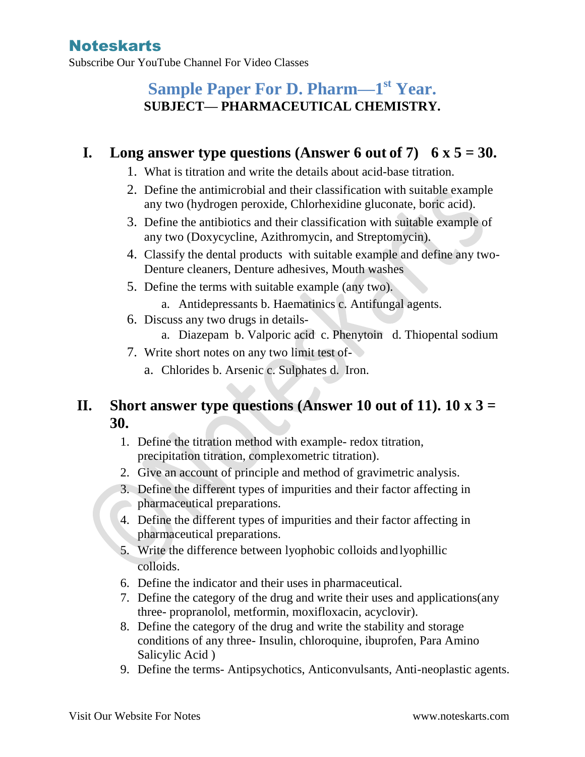Subscribe Our YouTube Channel For Video Classes

# **Sample Paper For D. Pharm—1 st Year. SUBJECT— PHARMACEUTICAL CHEMISTRY.**

#### **I.** Long answer type questions (Answer 6 out of 7)  $6 \times 5 = 30$ .

- 1. What is titration and write the details about acid-base titration.
- 2. Define the antimicrobial and their classification with suitable example any two (hydrogen peroxide, Chlorhexidine gluconate, boric acid).
- 3. Define the antibiotics and their classification with suitable example of any two (Doxycycline, Azithromycin, and Streptomycin).
- 4. Classify the dental products with suitable example and define any two-Denture cleaners, Denture adhesives, Mouth washes
- 5. Define the terms with suitable example (any two).
	- a. Antidepressants b. Haematinics c. Antifungal agents.
- 6. Discuss any two drugs in details
	- a. Diazepam b. Valporic acid c. Phenytoin d. Thiopental sodium
- 7. Write short notes on any two limit test of
	- a. Chlorides b. Arsenic c. Sulphates d. Iron.

#### **II. Short answer type questions (Answer 10 out of 11). 10 x 3 = 30.**

- 1. Define the titration method with example- redox titration, precipitation titration, complexometric titration).
- 2. Give an account of principle and method of gravimetric analysis.
- 3. Define the different types of impurities and their factor affecting in pharmaceutical preparations.
- 4. Define the different types of impurities and their factor affecting in pharmaceutical preparations.
- 5. Write the difference between lyophobic colloids andlyophillic colloids.
- 6. Define the indicator and their uses in pharmaceutical.
- 7. Define the category of the drug and write their uses and applications(any three- propranolol, metformin, moxifloxacin, acyclovir).
- 8. Define the category of the drug and write the stability and storage conditions of any three- Insulin, chloroquine, ibuprofen, Para Amino Salicylic Acid )
- 9. Define the terms- Antipsychotics, Anticonvulsants, Anti-neoplastic agents.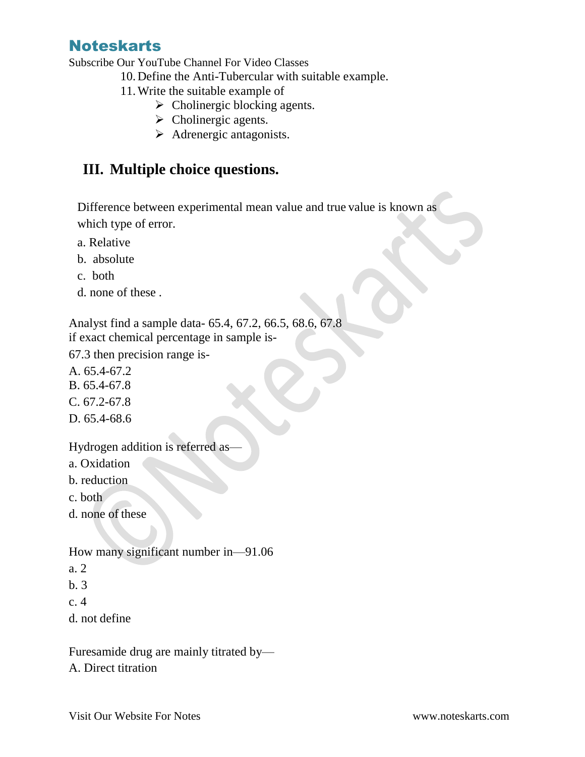Subscribe Our YouTube Channel For Video Classes

10.Define the Anti-Tubercular with suitable example.

- 11.Write the suitable example of
	- $\triangleright$  Cholinergic blocking agents.
	- $\triangleright$  Cholinergic agents.
	- $\triangleright$  Adrenergic antagonists.

### **III. Multiple choice questions.**

Difference between experimental mean value and true value is known as which type of error.

- a. Relative
- b. absolute
- c. both
- d. none of these .

Analyst find a sample data- 65.4, 67.2, 66.5, 68.6, 67.8 if exact chemical percentage in sample is-

67.3 then precision range is-

- A. 65.4-67.2
- B. 65.4-67.8
- C. 67.2-67.8
- D. 65.4-68.6

Hydrogen addition is referred as—

- a. Oxidation
- b. reduction
- c. both
- d. none of these
- How many significant number in—91.06
- a. 2
- b. 3
- c. 4
- d. not define

Furesamide drug are mainly titrated by— A. Direct titration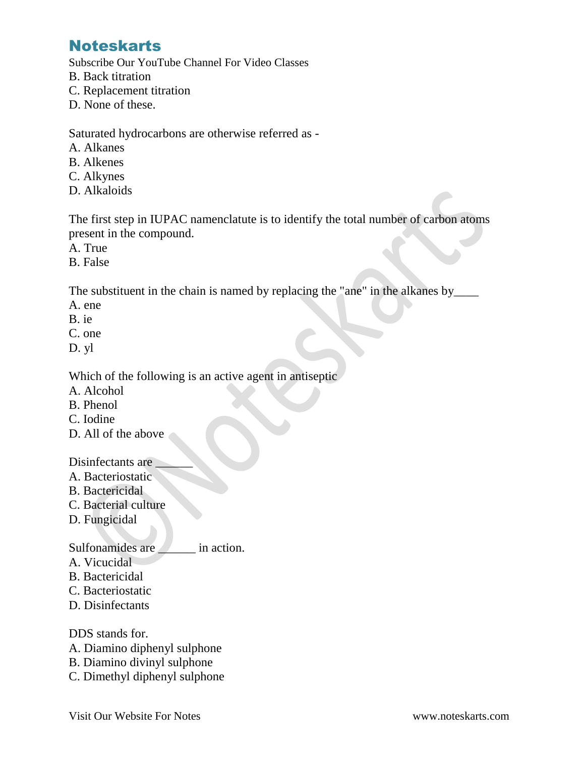Subscribe Our YouTube Channel For Video Classes

- B. Back titration
- C. Replacement titration
- D. None of these.

Saturated hydrocarbons are otherwise referred as -

- A. Alkanes
- B. Alkenes
- C. Alkynes
- D. Alkaloids

The first step in IUPAC namenclatute is to identify the total number of carbon atoms present in the compound.

- A. True
- B. False

The substituent in the chain is named by replacing the "ane" in the alkanes by

- A. ene
- B. ie
- C. one
- D. yl

Which of the following is an active agent in antiseptic

- A. Alcohol
- B. Phenol
- C. Iodine
- D. All of the above

Disinfectants are

- A. Bacteriostatic
- B. Bactericidal
- C. Bacterial culture
- D. Fungicidal

Sulfonamides are in action.

- A. Vicucidal
- B. Bactericidal
- C. Bacteriostatic
- D. Disinfectants

DDS stands for.

- A. Diamino diphenyl sulphone
- B. Diamino divinyl sulphone
- C. Dimethyl diphenyl sulphone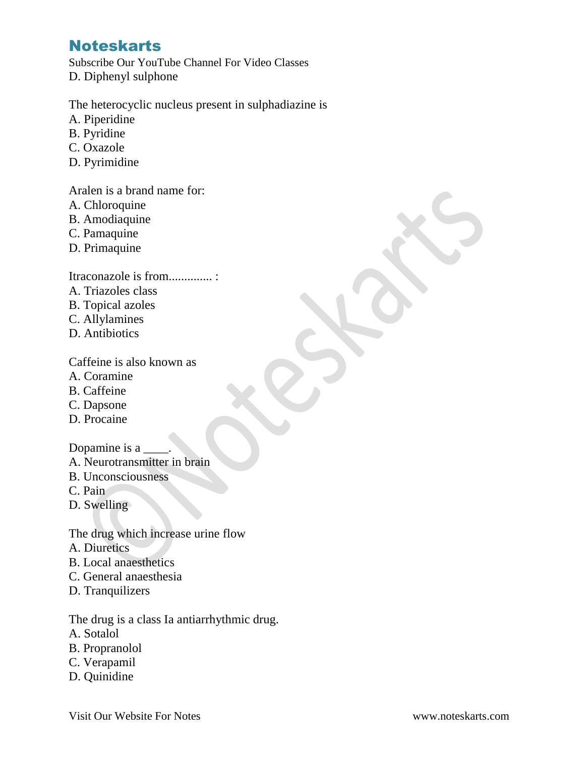Subscribe Our YouTube Channel For Video Classes D. Diphenyl sulphone

The heterocyclic nucleus present in sulphadiazine is

- A. Piperidine
- B. Pyridine
- C. Oxazole
- D. Pyrimidine

Aralen is a brand name for:

- A. Chloroquine
- B. Amodiaquine
- C. Pamaquine
- D. Primaquine

Itraconazole is from.............. :

- A. Triazoles class
- B. Topical azoles
- C. Allylamines
- D. Antibiotics

Caffeine is also known as

- A. Coramine
- B. Caffeine
- C. Dapsone
- D. Procaine

Dopamine is a

- A. Neurotransmitter in brain
- B. Unconsciousness
- C. Pain
- D. Swelling

The drug which increase urine flow

- A. Diuretics
- B. Local anaesthetics
- C. General anaesthesia
- D. Tranquilizers

The drug is a class Ia antiarrhythmic drug.

- A. Sotalol
- B. Propranolol
- C. Verapamil
- D. Quinidine